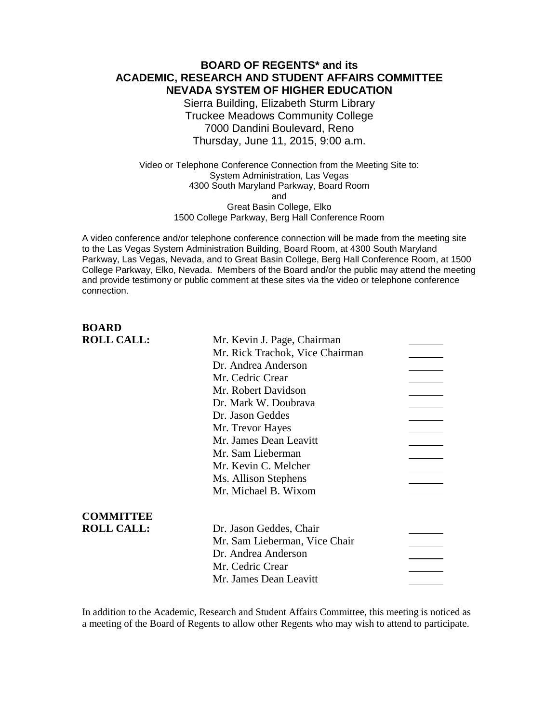# **BOARD OF REGENTS\* and its ACADEMIC, RESEARCH AND STUDENT AFFAIRS COMMITTEE NEVADA SYSTEM OF HIGHER EDUCATION**

Sierra Building, Elizabeth Sturm Library Truckee Meadows Community College 7000 Dandini Boulevard, Reno Thursday, June 11, 2015, 9:00 a.m.

Video or Telephone Conference Connection from the Meeting Site to: System Administration, Las Vegas 4300 South Maryland Parkway, Board Room and Great Basin College, Elko 1500 College Parkway, Berg Hall Conference Room

A video conference and/or telephone conference connection will be made from the meeting site to the Las Vegas System Administration Building, Board Room, at 4300 South Maryland Parkway, Las Vegas, Nevada, and to Great Basin College, Berg Hall Conference Room, at 1500 College Parkway, Elko, Nevada. Members of the Board and/or the public may attend the meeting and provide testimony or public comment at these sites via the video or telephone conference connection.

# **BOARD**

| <b>ROLL CALL:</b> | Mr. Kevin J. Page, Chairman     |  |
|-------------------|---------------------------------|--|
|                   | Mr. Rick Trachok, Vice Chairman |  |
|                   | Dr. Andrea Anderson             |  |
|                   | Mr. Cedric Crear                |  |
|                   | Mr. Robert Davidson             |  |
|                   | Dr. Mark W. Doubrava            |  |
|                   | Dr. Jason Geddes                |  |
|                   | Mr. Trevor Hayes                |  |
|                   | Mr. James Dean Leavitt          |  |
|                   | Mr. Sam Lieberman               |  |
|                   | Mr. Kevin C. Melcher            |  |
|                   | Ms. Allison Stephens            |  |
|                   | Mr. Michael B. Wixom            |  |
| <b>COMMITTEE</b>  |                                 |  |
| <b>ROLL CALL:</b> | Dr. Jason Geddes, Chair         |  |
|                   | Mr. Sam Lieberman, Vice Chair   |  |
|                   | Dr. Andrea Anderson             |  |
|                   | Mr. Cedric Crear                |  |
|                   | Mr. James Dean Leavitt          |  |
|                   |                                 |  |

In addition to the Academic, Research and Student Affairs Committee, this meeting is noticed as a meeting of the Board of Regents to allow other Regents who may wish to attend to participate.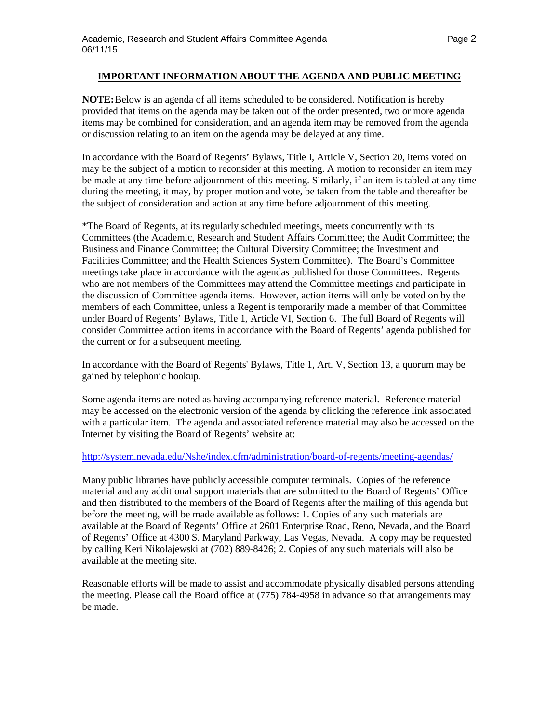#### **IMPORTANT INFORMATION ABOUT THE AGENDA AND PUBLIC MEETING**

**NOTE:**Below is an agenda of all items scheduled to be considered. Notification is hereby provided that items on the agenda may be taken out of the order presented, two or more agenda items may be combined for consideration, and an agenda item may be removed from the agenda or discussion relating to an item on the agenda may be delayed at any time.

In accordance with the Board of Regents' Bylaws, Title I, Article V, Section 20, items voted on may be the subject of a motion to reconsider at this meeting. A motion to reconsider an item may be made at any time before adjournment of this meeting. Similarly, if an item is tabled at any time during the meeting, it may, by proper motion and vote, be taken from the table and thereafter be the subject of consideration and action at any time before adjournment of this meeting.

\*The Board of Regents, at its regularly scheduled meetings, meets concurrently with its Committees (the Academic, Research and Student Affairs Committee; the Audit Committee; the Business and Finance Committee; the Cultural Diversity Committee; the Investment and Facilities Committee; and the Health Sciences System Committee). The Board's Committee meetings take place in accordance with the agendas published for those Committees. Regents who are not members of the Committees may attend the Committee meetings and participate in the discussion of Committee agenda items. However, action items will only be voted on by the members of each Committee, unless a Regent is temporarily made a member of that Committee under Board of Regents' Bylaws, Title 1, Article VI, Section 6. The full Board of Regents will consider Committee action items in accordance with the Board of Regents' agenda published for the current or for a subsequent meeting.

In accordance with the Board of Regents' Bylaws, Title 1, Art. V, Section 13, a quorum may be gained by telephonic hookup.

Some agenda items are noted as having accompanying reference material. Reference material may be accessed on the electronic version of the agenda by clicking the reference link associated with a particular item. The agenda and associated reference material may also be accessed on the Internet by visiting the Board of Regents' website at:

#### <http://system.nevada.edu/Nshe/index.cfm/administration/board-of-regents/meeting-agendas/>

Many public libraries have publicly accessible computer terminals. Copies of the reference material and any additional support materials that are submitted to the Board of Regents' Office and then distributed to the members of the Board of Regents after the mailing of this agenda but before the meeting, will be made available as follows: 1. Copies of any such materials are available at the Board of Regents' Office at 2601 Enterprise Road, Reno, Nevada, and the Board of Regents' Office at 4300 S. Maryland Parkway, Las Vegas, Nevada. A copy may be requested by calling Keri Nikolajewski at (702) 889-8426; 2. Copies of any such materials will also be available at the meeting site.

Reasonable efforts will be made to assist and accommodate physically disabled persons attending the meeting. Please call the Board office at (775) 784-4958 in advance so that arrangements may be made.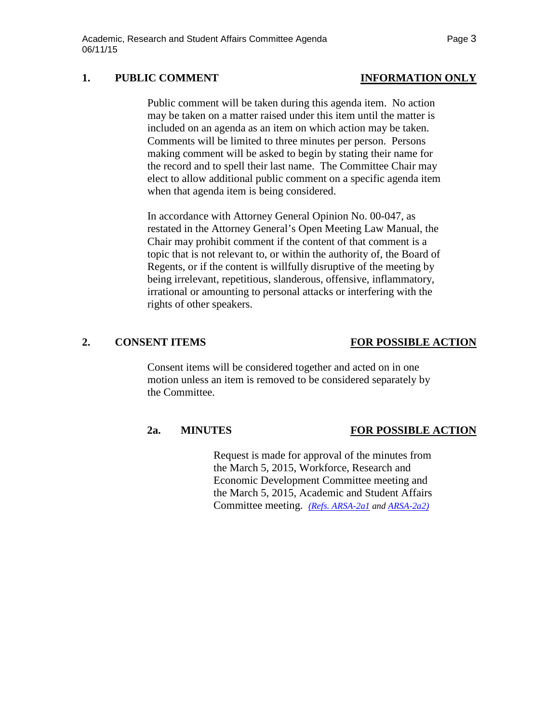### 1. PUBLIC COMMENT **INFORMATION** ONLY

Public comment will be taken during this agenda item. No action may be taken on a matter raised under this item until the matter is included on an agenda as an item on which action may be taken. Comments will be limited to three minutes per person. Persons making comment will be asked to begin by stating their name for the record and to spell their last name. The Committee Chair may elect to allow additional public comment on a specific agenda item when that agenda item is being considered.

In accordance with Attorney General Opinion No. 00-047, as restated in the Attorney General's Open Meeting Law Manual, the Chair may prohibit comment if the content of that comment is a topic that is not relevant to, or within the authority of, the Board of Regents, or if the content is willfully disruptive of the meeting by being irrelevant, repetitious, slanderous, offensive, inflammatory, irrational or amounting to personal attacks or interfering with the rights of other speakers.

### **2. CONSENT ITEMS FOR POSSIBLE ACTION**

Consent items will be considered together and acted on in one motion unless an item is removed to be considered separately by the Committee.

### **2a. MINUTES FOR POSSIBLE ACTION**

Request is made for approval of the minutes from the March 5, 2015, Workforce, Research and Economic Development Committee meeting and the March 5, 2015, Academic and Student Affairs Committee meeting. *[\(Refs. ARSA-2a1](http://system.nevada.edu/tasks/sites/Nshe/assets/File/BoardOfRegents/Agendas/2015/jun-mtgs/arsa-refs/ARSA-2a1.pdf) and [ARSA-2a2\)](http://system.nevada.edu/tasks/sites/Nshe/assets/File/BoardOfRegents/Agendas/2015/jun-mtgs/arsa-refs/ARSA-2a2.pdf)*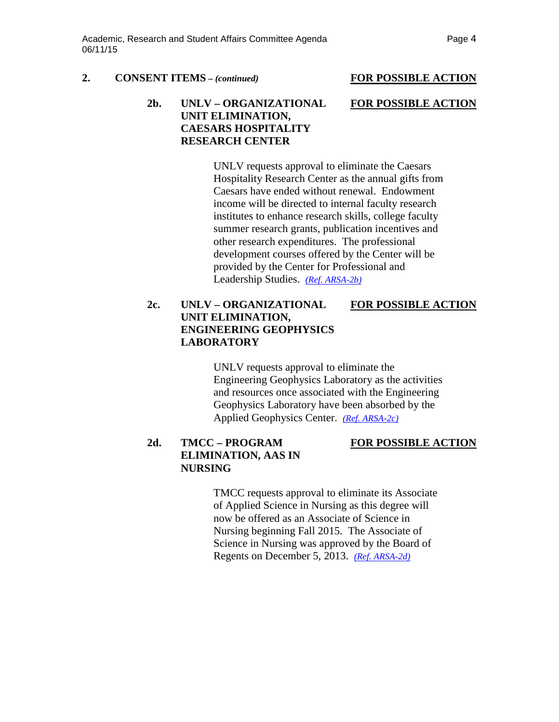#### **2. CONSENT ITEMS** *– (continued)* **FOR POSSIBLE ACTION**

# **2b. UNLV – ORGANIZATIONAL FOR POSSIBLE ACTION UNIT ELIMINATION, CAESARS HOSPITALITY RESEARCH CENTER**

UNLV requests approval to eliminate the Caesars Hospitality Research Center as the annual gifts from Caesars have ended without renewal. Endowment income will be directed to internal faculty research institutes to enhance research skills, college faculty summer research grants, publication incentives and other research expenditures. The professional development courses offered by the Center will be provided by the Center for Professional and Leadership Studies. *[\(Ref. ARSA-2b\)](http://system.nevada.edu/tasks/sites/Nshe/assets/File/BoardOfRegents/Agendas/2015/jun-mtgs/arsa-refs/ARSA-2b.pdf)*

# **2c. UNLV – ORGANIZATIONAL FOR POSSIBLE ACTION UNIT ELIMINATION, ENGINEERING GEOPHYSICS LABORATORY**

UNLV requests approval to eliminate the Engineering Geophysics Laboratory as the activities and resources once associated with the Engineering Geophysics Laboratory have been absorbed by the Applied Geophysics Center. *[\(Ref. ARSA-2c\)](http://system.nevada.edu/tasks/sites/Nshe/assets/File/BoardOfRegents/Agendas/2015/jun-mtgs/arsa-refs/ARSA-2c.pdf)*

# **2d. TMCC – PROGRAM FOR POSSIBLE ACTION ELIMINATION, AAS IN NURSING**

TMCC requests approval to eliminate its Associate of Applied Science in Nursing as this degree will now be offered as an Associate of Science in Nursing beginning Fall 2015. The Associate of Science in Nursing was approved by the Board of Regents on December 5, 2013. *[\(Ref. ARSA-2d\)](http://system.nevada.edu/tasks/sites/Nshe/assets/File/BoardOfRegents/Agendas/2015/jun-mtgs/arsa-refs/ARSA-2d.pdf)*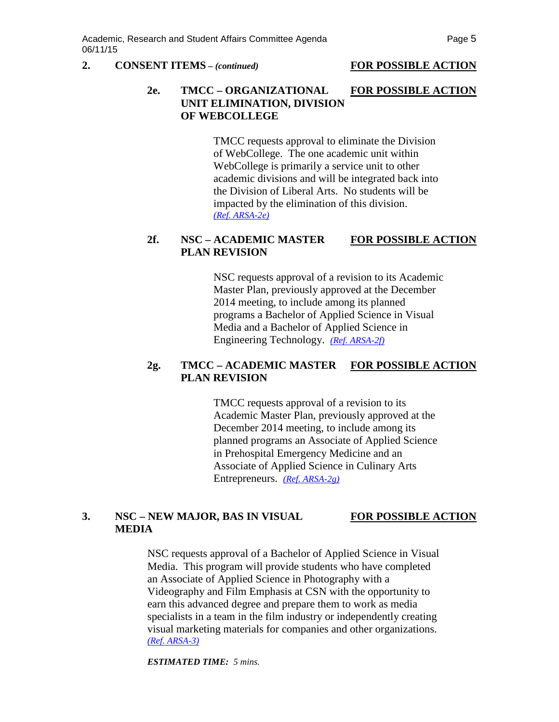#### **2. CONSENT ITEMS** *– (continued)* **FOR POSSIBLE ACTION**

### **2e. TMCC – ORGANIZATIONAL FOR POSSIBLE ACTION UNIT ELIMINATION, DIVISION OF WEBCOLLEGE**

TMCC requests approval to eliminate the Division of WebCollege. The one academic unit within WebCollege is primarily a service unit to other academic divisions and will be integrated back into the Division of Liberal Arts. No students will be impacted by the elimination of this division. *[\(Ref. ARSA-2e\)](http://system.nevada.edu/tasks/sites/Nshe/assets/File/BoardOfRegents/Agendas/2015/jun-mtgs/arsa-refs/ARSA-2e.pdf)*

#### **2f. NSC – ACADEMIC MASTER FOR POSSIBLE ACTION PLAN REVISION**

NSC requests approval of a revision to its Academic Master Plan, previously approved at the December 2014 meeting, to include among its planned programs a Bachelor of Applied Science in Visual Media and a Bachelor of Applied Science in Engineering Technology. *[\(Ref. ARSA-2f\)](http://system.nevada.edu/tasks/sites/Nshe/assets/File/BoardOfRegents/Agendas/2015/jun-mtgs/arsa-refs/ARSA-2f.pdf)*

### **2g. TMCC – ACADEMIC MASTER FOR POSSIBLE ACTION PLAN REVISION**

TMCC requests approval of a revision to its Academic Master Plan, previously approved at the December 2014 meeting, to include among its planned programs an Associate of Applied Science in Prehospital Emergency Medicine and an Associate of Applied Science in Culinary Arts Entrepreneurs. *[\(Ref. ARSA-2g\)](http://system.nevada.edu/tasks/sites/Nshe/assets/File/BoardOfRegents/Agendas/2015/jun-mtgs/arsa-refs/ARSA-2g.pdf)*

# **3. NSC – NEW MAJOR, BAS IN VISUAL FOR POSSIBLE ACTION MEDIA**

NSC requests approval of a Bachelor of Applied Science in Visual Media. This program will provide students who have completed an Associate of Applied Science in Photography with a Videography and Film Emphasis at CSN with the opportunity to earn this advanced degree and prepare them to work as media specialists in a team in the film industry or independently creating visual marketing materials for companies and other organizations. *[\(Ref. ARSA-3\)](http://system.nevada.edu/tasks/sites/Nshe/assets/File/BoardOfRegents/Agendas/2015/jun-mtgs/arsa-refs/ARSA-3.pdf)*

*ESTIMATED TIME: 5 mins.*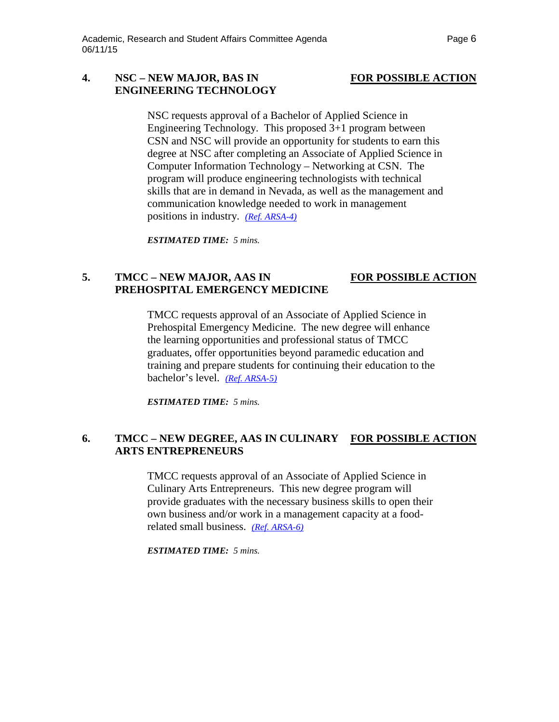# **4. NSC – NEW MAJOR, BAS IN FOR POSSIBLE ACTION ENGINEERING TECHNOLOGY**

NSC requests approval of a Bachelor of Applied Science in Engineering Technology. This proposed 3+1 program between CSN and NSC will provide an opportunity for students to earn this degree at NSC after completing an Associate of Applied Science in Computer Information Technology – Networking at CSN. The program will produce engineering technologists with technical skills that are in demand in Nevada, as well as the management and communication knowledge needed to work in management positions in industry. *[\(Ref. ARSA-4\)](http://system.nevada.edu/tasks/sites/Nshe/assets/File/BoardOfRegents/Agendas/2015/jun-mtgs/arsa-refs/ARSA-4.pdf)*

*ESTIMATED TIME: 5 mins.*

# **5. TMCC – NEW MAJOR, AAS IN FOR POSSIBLE ACTION PREHOSPITAL EMERGENCY MEDICINE**

TMCC requests approval of an Associate of Applied Science in Prehospital Emergency Medicine. The new degree will enhance the learning opportunities and professional status of TMCC graduates, offer opportunities beyond paramedic education and training and prepare students for continuing their education to the bachelor's level. *[\(Ref. ARSA-5\)](http://system.nevada.edu/tasks/sites/Nshe/assets/File/BoardOfRegents/Agendas/2015/jun-mtgs/arsa-refs/ARSA-5.pdf)*

*ESTIMATED TIME: 5 mins.*

# **6. TMCC – NEW DEGREE, AAS IN CULINARY FOR POSSIBLE ACTION ARTS ENTREPRENEURS**

TMCC requests approval of an Associate of Applied Science in Culinary Arts Entrepreneurs. This new degree program will provide graduates with the necessary business skills to open their own business and/or work in a management capacity at a foodrelated small business. *[\(Ref. ARSA-6\)](http://system.nevada.edu/tasks/sites/Nshe/assets/File/BoardOfRegents/Agendas/2015/jun-mtgs/arsa-refs/ARSA-6.pdf)*

*ESTIMATED TIME: 5 mins.*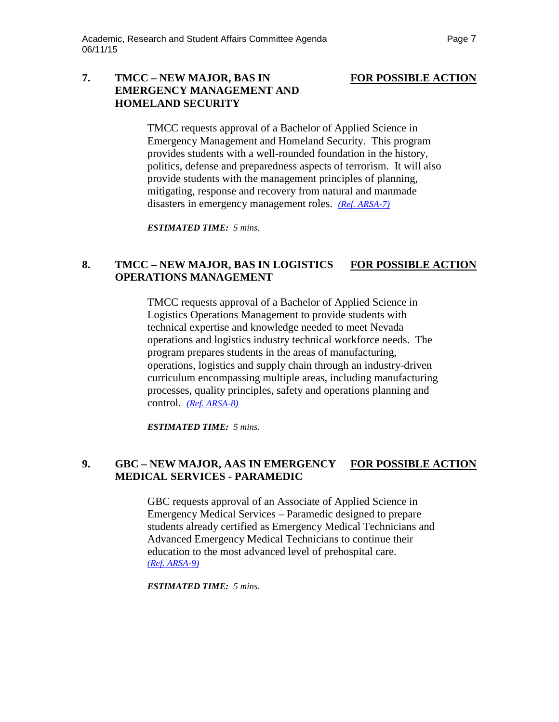# **7. TMCC – NEW MAJOR, BAS IN FOR POSSIBLE ACTION EMERGENCY MANAGEMENT AND HOMELAND SECURITY**

TMCC requests approval of a Bachelor of Applied Science in Emergency Management and Homeland Security. This program provides students with a well-rounded foundation in the history, politics, defense and preparedness aspects of terrorism. It will also provide students with the management principles of planning, mitigating, response and recovery from natural and manmade disasters in emergency management roles. *[\(Ref. ARSA-7\)](http://system.nevada.edu/tasks/sites/Nshe/assets/File/BoardOfRegents/Agendas/2015/jun-mtgs/arsa-refs/ARSA-7.pdf)*

*ESTIMATED TIME: 5 mins.*

# **8. TMCC – NEW MAJOR, BAS IN LOGISTICS FOR POSSIBLE ACTION OPERATIONS MANAGEMENT**

TMCC requests approval of a Bachelor of Applied Science in Logistics Operations Management to provide students with technical expertise and knowledge needed to meet Nevada operations and logistics industry technical workforce needs. The program prepares students in the areas of manufacturing, operations, logistics and supply chain through an industry-driven curriculum encompassing multiple areas, including manufacturing processes, quality principles, safety and operations planning and control. *[\(Ref. ARSA-8\)](http://system.nevada.edu/tasks/sites/Nshe/assets/File/BoardOfRegents/Agendas/2015/jun-mtgs/arsa-refs/ARSA-8.pdf)*

*ESTIMATED TIME: 5 mins.*

# **9. GBC – NEW MAJOR, AAS IN EMERGENCY FOR POSSIBLE ACTION MEDICAL SERVICES - PARAMEDIC**

GBC requests approval of an Associate of Applied Science in Emergency Medical Services – Paramedic designed to prepare students already certified as Emergency Medical Technicians and Advanced Emergency Medical Technicians to continue their education to the most advanced level of prehospital care. *[\(Ref. ARSA-9\)](http://system.nevada.edu/tasks/sites/Nshe/assets/File/BoardOfRegents/Agendas/2015/jun-mtgs/arsa-refs/ARSA-9.pdf)*

*ESTIMATED TIME: 5 mins.*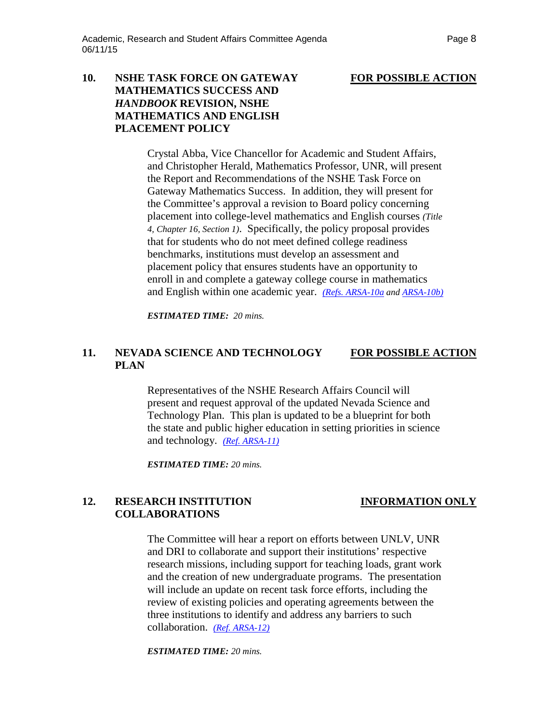# **10. NSHE TASK FORCE ON GATEWAY FOR POSSIBLE ACTION MATHEMATICS SUCCESS AND** *HANDBOOK* **REVISION, NSHE MATHEMATICS AND ENGLISH PLACEMENT POLICY**

Crystal Abba, Vice Chancellor for Academic and Student Affairs, and Christopher Herald, Mathematics Professor, UNR, will present the Report and Recommendations of the NSHE Task Force on Gateway Mathematics Success. In addition, they will present for the Committee's approval a revision to Board policy concerning placement into college-level mathematics and English courses *(Title 4, Chapter 16, Section 1)*. Specifically, the policy proposal provides that for students who do not meet defined college readiness benchmarks, institutions must develop an assessment and placement policy that ensures students have an opportunity to enroll in and complete a gateway college course in mathematics and English within one academic year. *[\(Refs. ARSA-10a](http://system.nevada.edu/tasks/sites/Nshe/assets/File/BoardOfRegents/Agendas/2015/jun-mtgs/arsa-refs/ARSA-10a.pdf) an[d ARSA-10b\)](http://system.nevada.edu/tasks/sites/Nshe/assets/File/BoardOfRegents/Agendas/2015/jun-mtgs/arsa-refs/ARSA-10b.pdf)*

*ESTIMATED TIME: 20 mins.*

### **11. NEVADA SCIENCE AND TECHNOLOGY FOR POSSIBLE ACTION PLAN**

Representatives of the NSHE Research Affairs Council will present and request approval of the updated Nevada Science and Technology Plan. This plan is updated to be a blueprint for both the state and public higher education in setting priorities in science and technology. *[\(Ref. ARSA-11\)](http://system.nevada.edu/tasks/sites/Nshe/assets/File/BoardOfRegents/Agendas/2015/jun-mtgs/arsa-refs/ARSA-11.pdf)*

*ESTIMATED TIME: 20 mins.*

# **12. RESEARCH INSTITUTION INFORMATION ONLY COLLABORATIONS**

The Committee will hear a report on efforts between UNLV, UNR and DRI to collaborate and support their institutions' respective research missions, including support for teaching loads, grant work and the creation of new undergraduate programs. The presentation will include an update on recent task force efforts, including the review of existing policies and operating agreements between the three institutions to identify and address any barriers to such collaboration. *[\(Ref. ARSA-12\)](http://system.nevada.edu/tasks/sites/Nshe/assets/File/BoardOfRegents/Agendas/2015/jun-mtgs/arsa-refs/ARSA-12.pdf)*

*ESTIMATED TIME: 20 mins.*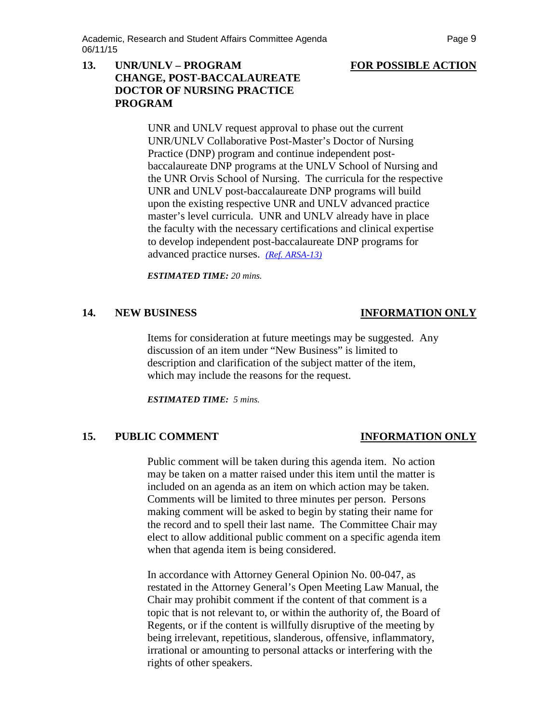## **13. UNR/UNLV – PROGRAM FOR POSSIBLE ACTION CHANGE, POST-BACCALAUREATE DOCTOR OF NURSING PRACTICE PROGRAM**

UNR and UNLV request approval to phase out the current UNR/UNLV Collaborative Post-Master's Doctor of Nursing Practice (DNP) program and continue independent postbaccalaureate DNP programs at the UNLV School of Nursing and the UNR Orvis School of Nursing. The curricula for the respective UNR and UNLV post-baccalaureate DNP programs will build upon the existing respective UNR and UNLV advanced practice master's level curricula. UNR and UNLV already have in place the faculty with the necessary certifications and clinical expertise to develop independent post-baccalaureate DNP programs for advanced practice nurses. *[\(Ref. ARSA-13\)](http://system.nevada.edu/tasks/sites/Nshe/assets/File/BoardOfRegents/Agendas/2015/jun-mtgs/arsa-refs/ARSA-13.pdf)*

*ESTIMATED TIME: 20 mins.*

### **14. NEW BUSINESS INFORMATION ONLY**

Items for consideration at future meetings may be suggested. Any discussion of an item under "New Business" is limited to description and clarification of the subject matter of the item, which may include the reasons for the request.

*ESTIMATED TIME: 5 mins.*

# **15. PUBLIC COMMENT INFORMATION ONLY**

Public comment will be taken during this agenda item. No action may be taken on a matter raised under this item until the matter is included on an agenda as an item on which action may be taken. Comments will be limited to three minutes per person. Persons making comment will be asked to begin by stating their name for the record and to spell their last name. The Committee Chair may elect to allow additional public comment on a specific agenda item when that agenda item is being considered.

In accordance with Attorney General Opinion No. 00-047, as restated in the Attorney General's Open Meeting Law Manual, the Chair may prohibit comment if the content of that comment is a topic that is not relevant to, or within the authority of, the Board of Regents, or if the content is willfully disruptive of the meeting by being irrelevant, repetitious, slanderous, offensive, inflammatory, irrational or amounting to personal attacks or interfering with the rights of other speakers.